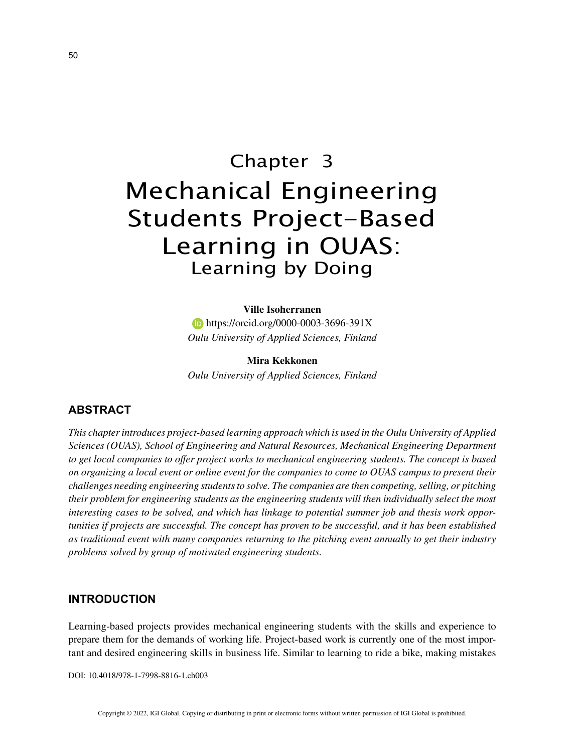# Chapter 3 Mechanical Engineering Students Project-Based Learning in OUAS: Learning by Doing

## **Ville Isoherranen**

**https://orcid.org/0000-0003-3696-391X** *Oulu University of Applied Sciences, Finland*

**Mira Kekkonen** *Oulu University of Applied Sciences, Finland*

## **ABSTRACT**

*This chapter introduces project-based learning approach which is used in the Oulu University of Applied Sciences (OUAS), School of Engineering and Natural Resources, Mechanical Engineering Department to get local companies to offer project works to mechanical engineering students. The concept is based on organizing a local event or online event for the companies to come to OUAS campus to present their challenges needing engineering students to solve. The companies are then competing, selling, or pitching their problem for engineering students as the engineering students will then individually select the most interesting cases to be solved, and which has linkage to potential summer job and thesis work opportunities if projects are successful. The concept has proven to be successful, and it has been established as traditional event with many companies returning to the pitching event annually to get their industry problems solved by group of motivated engineering students.*

## **INTRODUCTION**

Learning-based projects provides mechanical engineering students with the skills and experience to prepare them for the demands of working life. Project-based work is currently one of the most important and desired engineering skills in business life. Similar to learning to ride a bike, making mistakes

DOI: 10.4018/978-1-7998-8816-1.ch003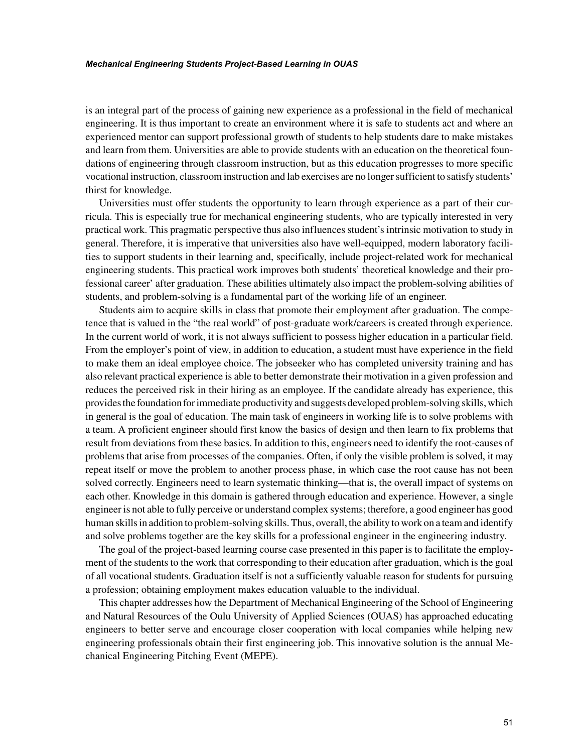#### *Mechanical Engineering Students Project-Based Learning in OUAS*

is an integral part of the process of gaining new experience as a professional in the field of mechanical engineering. It is thus important to create an environment where it is safe to students act and where an experienced mentor can support professional growth of students to help students dare to make mistakes and learn from them. Universities are able to provide students with an education on the theoretical foundations of engineering through classroom instruction, but as this education progresses to more specific vocational instruction, classroom instruction and lab exercises are no longer sufficient to satisfy students' thirst for knowledge.

Universities must offer students the opportunity to learn through experience as a part of their curricula. This is especially true for mechanical engineering students, who are typically interested in very practical work. This pragmatic perspective thus also influences student's intrinsic motivation to study in general. Therefore, it is imperative that universities also have well-equipped, modern laboratory facilities to support students in their learning and, specifically, include project-related work for mechanical engineering students. This practical work improves both students' theoretical knowledge and their professional career' after graduation. These abilities ultimately also impact the problem-solving abilities of students, and problem-solving is a fundamental part of the working life of an engineer.

Students aim to acquire skills in class that promote their employment after graduation. The competence that is valued in the "the real world" of post-graduate work/careers is created through experience. In the current world of work, it is not always sufficient to possess higher education in a particular field. From the employer's point of view, in addition to education, a student must have experience in the field to make them an ideal employee choice. The jobseeker who has completed university training and has also relevant practical experience is able to better demonstrate their motivation in a given profession and reduces the perceived risk in their hiring as an employee. If the candidate already has experience, this provides the foundation for immediate productivity and suggests developed problem-solving skills, which in general is the goal of education. The main task of engineers in working life is to solve problems with a team. A proficient engineer should first know the basics of design and then learn to fix problems that result from deviations from these basics. In addition to this, engineers need to identify the root-causes of problems that arise from processes of the companies. Often, if only the visible problem is solved, it may repeat itself or move the problem to another process phase, in which case the root cause has not been solved correctly. Engineers need to learn systematic thinking—that is, the overall impact of systems on each other. Knowledge in this domain is gathered through education and experience. However, a single engineer is not able to fully perceive or understand complex systems; therefore, a good engineer has good human skills in addition to problem-solving skills. Thus, overall, the ability to work on a team and identify and solve problems together are the key skills for a professional engineer in the engineering industry.

The goal of the project-based learning course case presented in this paper is to facilitate the employment of the students to the work that corresponding to their education after graduation, which is the goal of all vocational students. Graduation itself is not a sufficiently valuable reason for students for pursuing a profession; obtaining employment makes education valuable to the individual.

This chapter addresses how the Department of Mechanical Engineering of the School of Engineering and Natural Resources of the Oulu University of Applied Sciences (OUAS) has approached educating engineers to better serve and encourage closer cooperation with local companies while helping new engineering professionals obtain their first engineering job. This innovative solution is the annual Mechanical Engineering Pitching Event (MEPE).